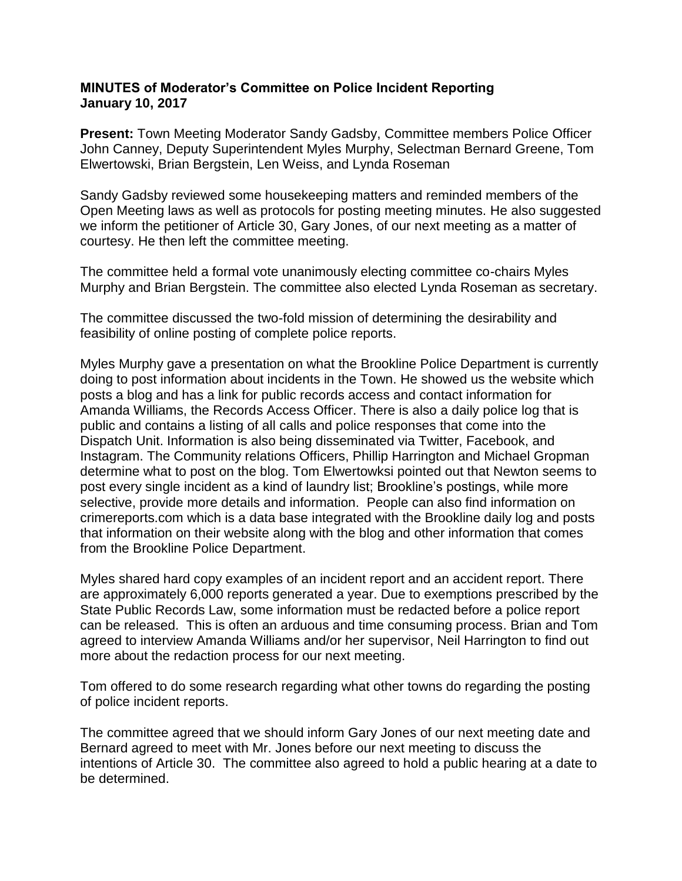## **MINUTES of Moderator's Committee on Police Incident Reporting January 10, 2017**

**Present:** Town Meeting Moderator Sandy Gadsby, Committee members Police Officer John Canney, Deputy Superintendent Myles Murphy, Selectman Bernard Greene, Tom Elwertowski, Brian Bergstein, Len Weiss, and Lynda Roseman

Sandy Gadsby reviewed some housekeeping matters and reminded members of the Open Meeting laws as well as protocols for posting meeting minutes. He also suggested we inform the petitioner of Article 30, Gary Jones, of our next meeting as a matter of courtesy. He then left the committee meeting.

The committee held a formal vote unanimously electing committee co-chairs Myles Murphy and Brian Bergstein. The committee also elected Lynda Roseman as secretary.

The committee discussed the two-fold mission of determining the desirability and feasibility of online posting of complete police reports.

Myles Murphy gave a presentation on what the Brookline Police Department is currently doing to post information about incidents in the Town. He showed us the website which posts a blog and has a link for public records access and contact information for Amanda Williams, the Records Access Officer. There is also a daily police log that is public and contains a listing of all calls and police responses that come into the Dispatch Unit. Information is also being disseminated via Twitter, Facebook, and Instagram. The Community relations Officers, Phillip Harrington and Michael Gropman determine what to post on the blog. Tom Elwertowksi pointed out that Newton seems to post every single incident as a kind of laundry list; Brookline's postings, while more selective, provide more details and information. People can also find information on crimereports.com which is a data base integrated with the Brookline daily log and posts that information on their website along with the blog and other information that comes from the Brookline Police Department.

Myles shared hard copy examples of an incident report and an accident report. There are approximately 6,000 reports generated a year. Due to exemptions prescribed by the State Public Records Law, some information must be redacted before a police report can be released. This is often an arduous and time consuming process. Brian and Tom agreed to interview Amanda Williams and/or her supervisor, Neil Harrington to find out more about the redaction process for our next meeting.

Tom offered to do some research regarding what other towns do regarding the posting of police incident reports.

The committee agreed that we should inform Gary Jones of our next meeting date and Bernard agreed to meet with Mr. Jones before our next meeting to discuss the intentions of Article 30. The committee also agreed to hold a public hearing at a date to be determined.